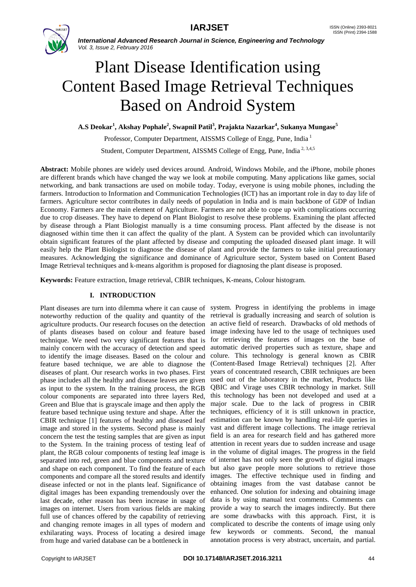

*International Advanced Research Journal in Science, Engineering and Technology Vol. 3, Issue 2, February 2016*

# Plant Disease Identification using Content Based Image Retrieval Techniques Based on Android System

**A.S Deokar<sup>1</sup> , Akshay Pophale<sup>2</sup> , Swapnil Patil<sup>3</sup> , Prajakta Nazarkar<sup>4</sup> , Sukanya Mungase<sup>5</sup>**

Professor, Computer Department, AISSMS College of Engg, Pune, India<sup>1</sup>

Student, Computer Department, AISSMS College of Engg, Pune. India<sup>2, 3,4,5</sup>

**Abstract:** Mobile phones are widely used devices around. Android, Windows Mobile, and the iPhone, mobile phones are different brands which have changed the way we look at mobile computing. Many applications like games, social networking, and bank transactions are used on mobile today. Today, everyone is using mobile phones, including the farmers. Introduction to Information and Communication Technologies (ICT) has an important role in day to day life of farmers. Agriculture sector contributes in daily needs of population in India and is main backbone of GDP of Indian Economy. Farmers are the main element of Agriculture. Farmers are not able to cope up with complications occurring due to crop diseases. They have to depend on Plant Biologist to resolve these problems. Examining the plant affected by disease through a Plant Biologist manually is a time consuming process. Plant affected by the disease is not diagnosed within time then it can affect the quality of the plant. A System can be provided which can involuntarily obtain significant features of the plant affected by disease and computing the uploaded diseased plant image. It will easily help the Plant Biologist to diagnose the disease of plant and provide the farmers to take initial precautionary measures. Acknowledging the significance and dominance of Agriculture sector, System based on Content Based Image Retrieval techniques and k-means algorithm is proposed for diagnosing the plant disease is proposed.

**Keywords:** Feature extraction, Image retrieval, CBIR techniques, K-means, Colour histogram.

# **I. INTRODUCTION**

noteworthy reduction of the quality and quantity of the agriculture products. Our research focuses on the detection of plants diseases based on colour and feature based technique. We need two very significant features that is mainly concern with the accuracy of detection and speed to identify the image diseases. Based on the colour and feature based technique, we are able to diagnose the diseases of plant. Our research works in two phases. First phase includes all the healthy and disease leaves are given as input to the system. In the training process, the RGB colour components are separated into three layers Red, Green and Blue that is grayscale image and then apply the feature based technique using texture and shape. After the CBIR technique [1] features of healthy and diseased leaf image and stored in the systems. Second phase is mainly concern the test the testing samples that are given as input to the System. In the training process of testing leaf of plant, the RGB colour components of testing leaf image is separated into red, green and blue components and texture and shape on each component. To find the feature of each components and compare all the stored results and identify disease infected or not in the plants leaf. Significance of digital images has been expanding tremendously over the last decade, other reason has been increase in usage of images on internet. Users from various fields are making full use of chances offered by the capability of retrieving and changing remote images in all types of modern and exhilarating ways. Process of locating a desired image from huge and varied database can be a bottleneck in

Plant diseases are turn into dilemma where it can cause of system. Progress in identifying the problems in image retrieval is gradually increasing and search of solution is an active field of research. Drawbacks of old methods of image indexing have led to the usage of techniques used for retrieving the features of images on the base of automatic derived properties such as texture, shape and colure. This technology is general known as CBIR (Content-Based Image Retrieval) techniques [2]. After years of concentrated research, CBIR techniques are been used out of the laboratory in the market, Products like QBIC and Virage uses CBIR technology in market. Still this technology has been not developed and used at a major scale. Due to the lack of progress in CBIR techniques, efficiency of it is still unknown in practice, estimation can be known by handling real-life queries in vast and different image collections. The image retrieval field is an area for research field and has gathered more attention in recent years due to sudden increase and usage in the volume of digital images. The progress in the field of internet has not only seen the growth of digital images but also gave people more solutions to retrieve those images. The effective technique used in finding and obtaining images from the vast database cannot be enhanced. One solution for indexing and obtaining image data is by using manual text comments. Comments can provide a way to search the images indirectly. But there are some drawbacks with this approach. First, it is complicated to describe the contents of image using only few keywords or comments. Second, the manual annotation process is very abstract, uncertain, and partial.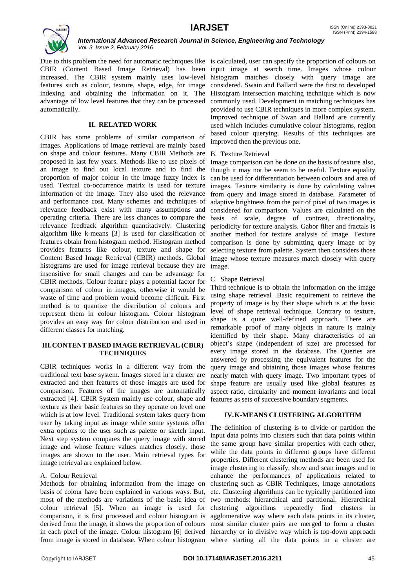

*International Advanced Research Journal in Science, Engineering and Technology Vol. 3, Issue 2, February 2016*

Due to this problem the need for automatic techniques like is calculated, user can specify the proportion of colours on CBIR (Content Based Image Retrieval) has been input image at search time. Images whose colour increased. The CBIR system mainly uses low-level histogram matches closely with query image are features such as colour, texture, shape, edge, for image indexing and obtaining the information on it. The Histogram intersection matching technique which is now advantage of low level features that they can be processed automatically.

### **II. RELATED WORK**

CBIR has some problems of similar comparison of images. Applications of image retrieval are mainly based on shape and colour features. Many CBIR Methods are proposed in last few years. Methods like to use pixels of an image to find out local texture and to find the proportion of major colour in the image fuzzy index is used. Textual co-occurrence matrix is used for texture information of the image. They also used the relevance and performance cost. Many schemes and techniques of relevance feedback exist with many assumptions and operating criteria. There are less chances to compare the relevance feedback algorithm quantitatively. Clustering algorithm like k-means [3] is used for classification of features obtain from histogram method. Histogram method provides features like colour, texture and shape for Content Based Image Retrieval (CBIR) methods. Global histograms are used for image retrieval because they are insensitive for small changes and can be advantage for CBIR methods. Colour feature plays a potential factor for comparison of colour in images, otherwise it would be waste of time and problem would become difficult. First method is to quantize the distribution of colours and represent them in colour histogram. Colour histogram provides an easy way for colour distribution and used in different classes for matching.

### **III.CONTENT BASED IMAGE RETRIEVAL (CBIR) TECHNIQUES**

CBIR techniques works in a different way from the traditional text base system. Images stored in a cluster are extracted and then features of those images are used for comparison. Features of the images are automatically extracted [4]. CBIR System mainly use colour, shape and texture as their basic features so they operate on level one which is at low level. Traditional system takes query from user by taking input as image while some systems offer extra options to the user such as palette or sketch input. Next step system compares the query image with stored image and whose feature values matches closely, those images are shown to the user. Main retrieval types for image retrieval are explained below.

# A. Colour Retrieval

Methods for obtaining information from the image on clustering such as CBIR Techniques, Image annotations basis of colour have been explained in various ways. But, most of the methods are variations of the basic idea of colour retrieval [5]. When an image is used for comparison, it is first processed and colour histogram is agglomerative way where each data points in its cluster, derived from the image, it shows the proportion of colours most similar cluster pairs are merged to form a cluster in each pixel of the image. Colour histogram [6] derived hierarchy or in divisive way which is top-down approach

considered. Swain and Ballard were the first to developed commonly used. Development in matching techniques has provided to use CBIR techniques in more complex system. Improved technique of Swan and Ballard are currently used which includes cumulative colour histograms, region based colour querying. Results of this techniques are improved then the previous one.

### B. Texture Retrieval

Image comparison can be done on the basis of texture also, though it may not be seem to be useful. Texture equality can be used for differentiation between colours and area of images. Texture similarity is done by calculating values from query and image stored in database. Parameter of adaptive brightness from the pair of pixel of two images is considered for comparison. Values are calculated on the basis of scale, degree of contrast, directionality, periodicity for texture analysis. Gabor filter and fractals is another method for texture analysis of image. Texture comparison is done by submitting query image or by selecting texture from palette. System then considers those image whose texture measures match closely with query image.

### C. Shape Retrieval

Third technique is to obtain the information on the image using shape retrieval .Basic requirement to retrieve the property of image is by their shape which is at the basic level of shape retrieval technique. Contrary to texture, shape is a quite well-defined approach. There are remarkable proof of many objects in nature is mainly identified by their shape. Many characteristics of an object's shape (independent of size) are processed for every image stored in the database. The Queries are answered by processing the equivalent features for the query image and obtaining those images whose features nearly match with query image. Two important types of shape feature are usually used like global features as aspect ratio, circularity and moment invariants and local features as sets of successive boundary segments.

# **IV.K-MEANS CLUSTERING ALGORITHM**

from image is stored in database. When colour histogram where starting all the data points in a cluster are The definition of clustering is to divide or partition the input data points into clusters such that data points within the same group have similar properties with each other, while the data points in different groups have different properties. Different clustering methods are been used for image clustering to classify, show and scan images and to enhance the performances of applications related to etc. Clustering algorithms can be typically partitioned into two methods: hierarchical and partitional. Hierarchical clustering algorithms repeatedly find clusters in